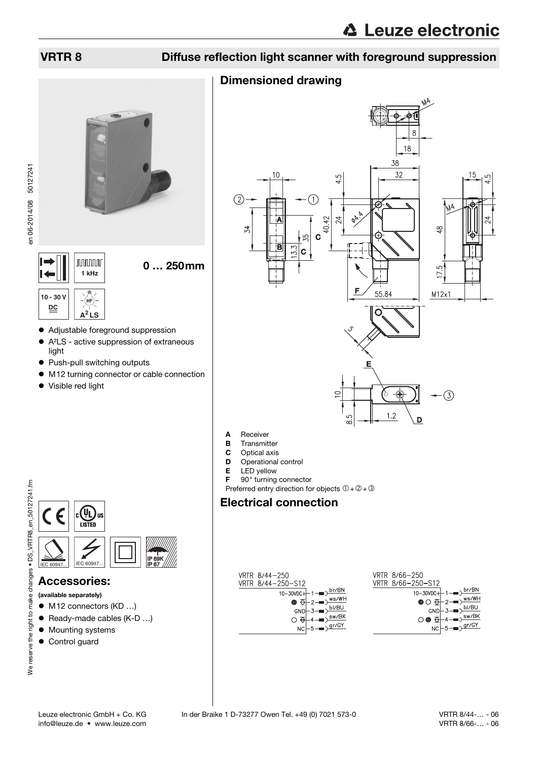## VRTR 8 Diffuse reflection light scanner with foreground suppression

## Dimensioned drawing



- 
- **B** Transmitter
- **C** Optical axis<br>**D** Operational
- Operational control
- **E** LED yellow
- F 90° turning connector
- Preferred entry direction for objects  $0+2+3$

## Electrical connection

| VRTR 8/44-250                                                                                                                                                                  | VRTR 8/66-250                                                         |
|--------------------------------------------------------------------------------------------------------------------------------------------------------------------------------|-----------------------------------------------------------------------|
| VRTR 8/44-250-S12                                                                                                                                                              | VRTR 8/66-250-S12                                                     |
| $10-30VDC + 1$ – $\rightarrow$ $\frac{br/BN}{l}$                                                                                                                               | 10-30VDC+ $+1$ – $D$ br/BN                                            |
| $\bullet$ $\overline{\Theta}$ -2- $\overline{\bullet}$ $\overline{\times}$ $\overline{\times}$ $\overline{\times}$ $\overline{\times}$ $\overline{\times}$ $\overline{\times}$ | $\bigcirc$ $\bigcirc$ $\frac{1}{2}$ - $\frac{1}{2}$ $\frac{ws}{w}$    |
| $GND \left[-3 \right]$ $\left(-8 \right)$                                                                                                                                      | $GND$ $ \rightarrow$ $\frac{bI/BU}{U}$                                |
| $\circ$ $\overline{\Theta}$ +4 $\overline{\bullet}$ $\overline{\circ}$ $\frac{\text{sw/BK}}{}$                                                                                 | $\circ \bullet \oplus \mid$ 4 $\bullet \circ \overline{\text{sw/BK}}$ |
| $NC \rightarrow -\sqrt{gr/GY}$                                                                                                                                                 | $NC \rightarrow 5 \rightarrow 9r/GY$                                  |



**nnnnn 1 kHz 10 - 30 V** (hf **DC A<sup>2</sup> LS**

- Adjustable foreground suppression
- A²LS active suppression of extraneous light
- Push-pull switching outputs
- $\bullet$  M12 turning connector or cable connection

0 … 250mm

Visible red light



### Accessories:

- (available separately)
- M12 connectors (KD ...)
- Ready-made cables (K-D ...)
- $\bullet$  Mounting systems
- Control guard
-